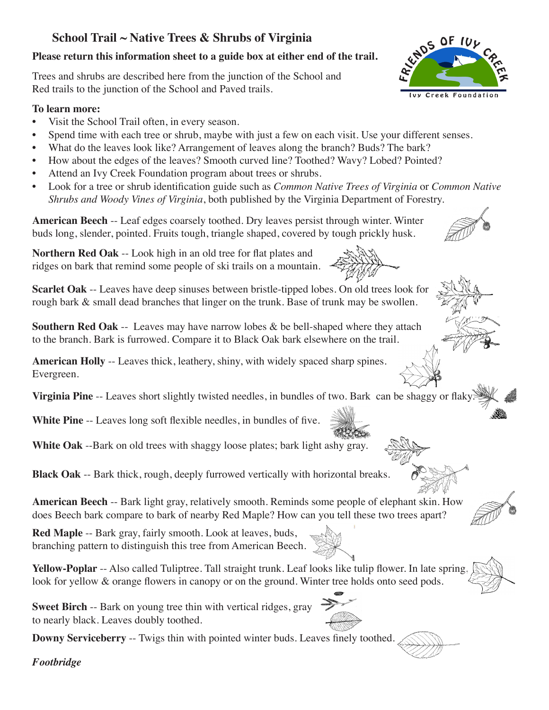## **School Trail ~ Native Trees & Shrubs of Virginia**

## **Please return this information sheet to a guide box at either end of the trail.**

Trees and shrubs are described here from the junction of the School and Red trails to the junction of the School and Paved trails.

## **To learn more:**

- Visit the School Trail often, in every season.
- Spend time with each tree or shrub, maybe with just a few on each visit. Use your different senses.
- What do the leaves look like? Arrangement of leaves along the branch? Buds? The bark?
- How about the edges of the leaves? Smooth curved line? Toothed? Wavy? Lobed? Pointed?
- Attend an Ivy Creek Foundation program about trees or shrubs.
- Look for a tree or shrub identification guide such as *Common Native Trees of Virginia* or *Common Native Shrubs and Woody Vines of Virginia*, both published by the Virginia Department of Forestry.

**American Beech** -- Leaf edges coarsely toothed. Dry leaves persist through winter. Winter buds long, slender, pointed. Fruits tough, triangle shaped, covered by tough prickly husk.

**Northern Red Oak** -- Look high in an old tree for flat plates and ridges on bark that remind some people of ski trails on a mountain.

**Scarlet Oak** -- Leaves have deep sinuses between bristle-tipped lobes. On old trees look for rough bark & small dead branches that linger on the trunk. Base of trunk may be swollen.

**Southern Red Oak** -- Leaves may have narrow lobes & be bell-shaped where they attach to the branch. Bark is furrowed. Compare it to Black Oak bark elsewhere on the trail.

**American Holly** -- Leaves thick, leathery, shiny, with widely spaced sharp spines. Evergreen.

**Virginia Pine** -- Leaves short slightly twisted needles, in bundles of two. Bark can be shaggy or flaky.

**White Pine** -- Leaves long soft flexible needles, in bundles of five.

**White Oak** --Bark on old trees with shaggy loose plates; bark light ashy gray.

**Black Oak** -- Bark thick, rough, deeply furrowed vertically with horizontal breaks.

**American Beech** -- Bark light gray, relatively smooth. Reminds some people of elephant skin. How does Beech bark compare to bark of nearby Red Maple? How can you tell these two trees apart?

**Red Maple** -- Bark gray, fairly smooth. Look at leaves, buds, branching pattern to distinguish this tree from American Beech.

Yellow-Poplar -- Also called Tuliptree. Tall straight trunk. Leaf looks like tulip flower. In late spring look for yellow & orange flowers in canopy or on the ground. Winter tree holds onto seed pods.

**Sweet Birch** -- Bark on young tree thin with vertical ridges, gray to nearly black. Leaves doubly toothed.

**Downy Serviceberry** -- Twigs thin with pointed winter buds. Leaves finely toothed.

*Footbridge*